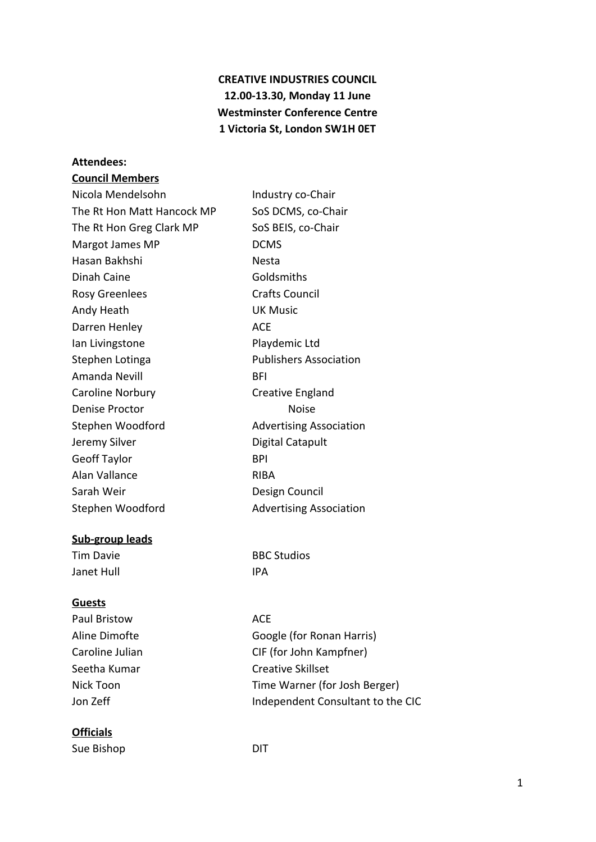# **CREATIVE INDUSTRIES COUNCIL 12.00-13.30, Monday 11 June Westminster Conference Centre 1 Victoria St, London SW1H 0ET**

# **Attendees:**

## **Council Members**

| Nicola Mendelsohn          | Industry co-Chair              |
|----------------------------|--------------------------------|
| The Rt Hon Matt Hancock MP | SoS DCMS, co-Chair             |
| The Rt Hon Greg Clark MP   | SoS BEIS, co-Chair             |
| Margot James MP            | <b>DCMS</b>                    |
| Hasan Bakhshi              | Nesta                          |
| Dinah Caine                | Goldsmiths                     |
| <b>Rosy Greenlees</b>      | <b>Crafts Council</b>          |
| Andy Heath                 | <b>UK Music</b>                |
| Darren Henley              | <b>ACE</b>                     |
| lan Livingstone            | Playdemic Ltd                  |
| Stephen Lotinga            | <b>Publishers Association</b>  |
| Amanda Nevill              | BFI                            |
| Caroline Norbury           | Creative England               |
| Denise Proctor             | <b>Noise</b>                   |
| Stephen Woodford           | <b>Advertising Association</b> |
| Jeremy Silver              | Digital Catapult               |
| <b>Geoff Taylor</b>        | BPI                            |
| Alan Vallance              | RIBA                           |
| Sarah Weir                 | Design Council                 |
| Stephen Woodford           | <b>Advertising Association</b> |
|                            |                                |

#### **Sub-group leads**

Janet Hull **IPA** 

# **Guests**

Paul Bristow **ACE** 

# **Officials**

Sue Bishop DIT

Tim Davie **BBC Studios** 

Aline Dimofte **Google** (for Ronan Harris) Caroline Julian CIF (for John Kampfner) Seetha Kumar Creative Skillset Nick Toon Time Warner (for Josh Berger) Jon Zeff **Independent Consultant to the CIC**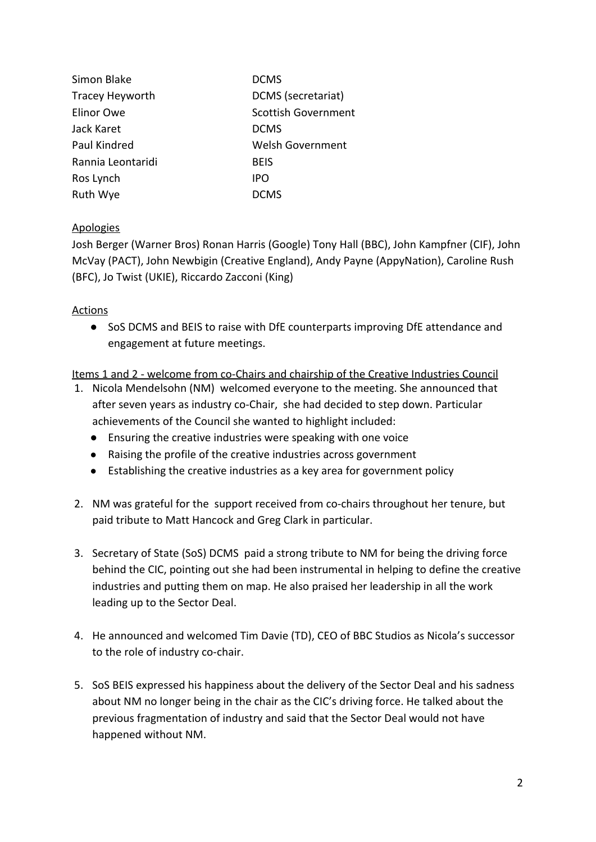| Simon Blake            | <b>DCMS</b>                |
|------------------------|----------------------------|
| <b>Tracey Heyworth</b> | DCMS (secretariat)         |
| Elinor Owe             | <b>Scottish Government</b> |
| Jack Karet             | <b>DCMS</b>                |
| Paul Kindred           | <b>Welsh Government</b>    |
| Rannia Leontaridi      | <b>BEIS</b>                |
| Ros Lynch              | <b>IPO</b>                 |
| Ruth Wye               | <b>DCMS</b>                |

#### Apologies

Josh Berger (Warner Bros) Ronan Harris (Google) Tony Hall (BBC), John Kampfner (CIF), John McVay (PACT), John Newbigin (Creative England), Andy Payne (AppyNation), Caroline Rush (BFC), Jo Twist (UKIE), Riccardo Zacconi (King)

#### Actions

● SoS DCMS and BEIS to raise with DfE counterparts improving DfE attendance and engagement at future meetings.

Items 1 and 2 - welcome from co-Chairs and chairship of the Creative Industries Council

- 1. Nicola Mendelsohn (NM) welcomed everyone to the meeting. She announced that after seven years as industry co-Chair, she had decided to step down. Particular achievements of the Council she wanted to highlight included:
	- Ensuring the creative industries were speaking with one voice
	- Raising the profile of the creative industries across government
	- Establishing the creative industries as a key area for government policy
- 2. NM was grateful for the support received from co-chairs throughout her tenure, but paid tribute to Matt Hancock and Greg Clark in particular.
- 3. Secretary of State (SoS) DCMS paid a strong tribute to NM for being the driving force behind the CIC, pointing out she had been instrumental in helping to define the creative industries and putting them on map. He also praised her leadership in all the work leading up to the Sector Deal.
- 4. He announced and welcomed Tim Davie (TD), CEO of BBC Studios as Nicola's successor to the role of industry co-chair.
- 5. SoS BEIS expressed his happiness about the delivery of the Sector Deal and his sadness about NM no longer being in the chair as the CIC's driving force. He talked about the previous fragmentation of industry and said that the Sector Deal would not have happened without NM.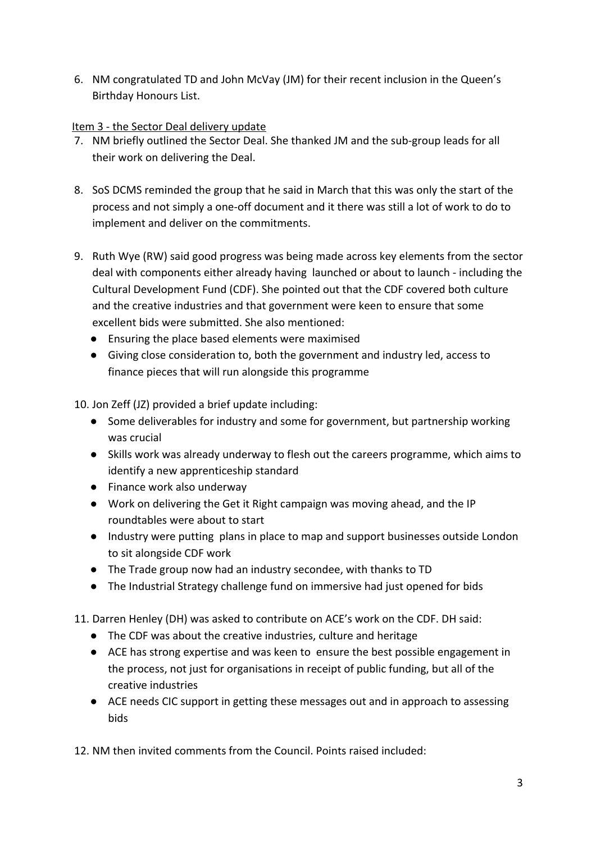6. NM congratulated TD and John McVay (JM) for their recent inclusion in the Queen's Birthday Honours List.

### Item 3 - the Sector Deal delivery update

- 7. NM briefly outlined the Sector Deal. She thanked JM and the sub-group leads for all their work on delivering the Deal.
- 8. SoS DCMS reminded the group that he said in March that this was only the start of the process and not simply a one-off document and it there was still a lot of work to do to implement and deliver on the commitments.
- 9. Ruth Wye (RW) said good progress was being made across key elements from the sector deal with components either already having launched or about to launch - including the Cultural Development Fund (CDF). She pointed out that the CDF covered both culture and the creative industries and that government were keen to ensure that some excellent bids were submitted. She also mentioned:
	- Ensuring the place based elements were maximised
	- Giving close consideration to, both the government and industry led, access to finance pieces that will run alongside this programme

10. Jon Zeff (JZ) provided a brief update including:

- Some deliverables for industry and some for government, but partnership working was crucial
- Skills work was already underway to flesh out the careers programme, which aims to identify a new apprenticeship standard
- Finance work also underway
- Work on delivering the Get it Right campaign was moving ahead, and the IP roundtables were about to start
- Industry were putting plans in place to map and support businesses outside London to sit alongside CDF work
- The Trade group now had an industry secondee, with thanks to TD
- The Industrial Strategy challenge fund on immersive had just opened for bids

11. Darren Henley (DH) was asked to contribute on ACE's work on the CDF. DH said:

- The CDF was about the creative industries, culture and heritage
- ACE has strong expertise and was keen to ensure the best possible engagement in the process, not just for organisations in receipt of public funding, but all of the creative industries
- ACE needs CIC support in getting these messages out and in approach to assessing bids

12. NM then invited comments from the Council. Points raised included: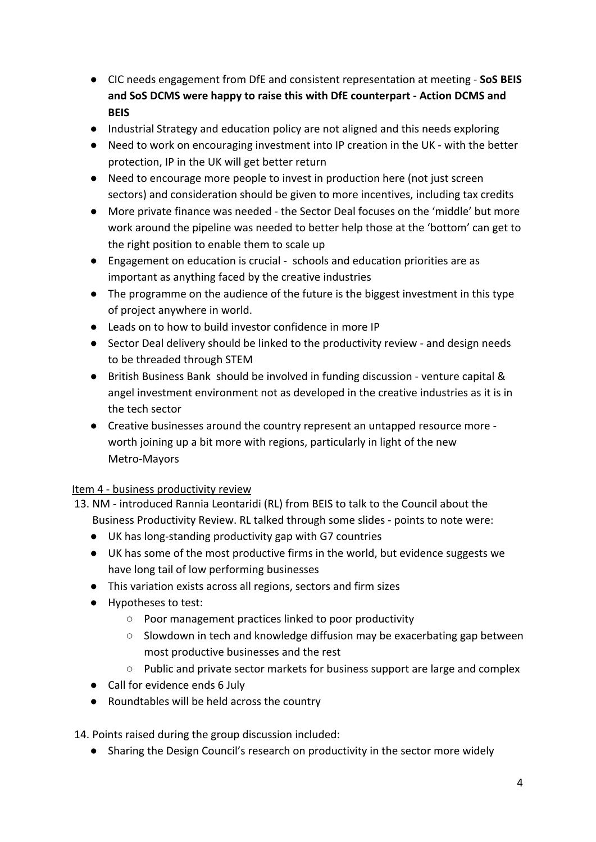- CIC needs engagement from DfE and consistent representation at meeting **SoS BEIS and SoS DCMS were happy to raise this with DfE counterpart - Action DCMS and BEIS**
- Industrial Strategy and education policy are not aligned and this needs exploring
- Need to work on encouraging investment into IP creation in the UK with the better protection, IP in the UK will get better return
- Need to encourage more people to invest in production here (not just screen sectors) and consideration should be given to more incentives, including tax credits
- More private finance was needed the Sector Deal focuses on the 'middle' but more work around the pipeline was needed to better help those at the 'bottom' can get to the right position to enable them to scale up
- Engagement on education is crucial schools and education priorities are as important as anything faced by the creative industries
- The programme on the audience of the future is the biggest investment in this type of project anywhere in world.
- Leads on to how to build investor confidence in more IP
- Sector Deal delivery should be linked to the productivity review and design needs to be threaded through STEM
- British Business Bank should be involved in funding discussion venture capital & angel investment environment not as developed in the creative industries as it is in the tech sector
- Creative businesses around the country represent an untapped resource more worth joining up a bit more with regions, particularly in light of the new Metro-Mayors

## Item 4 - business productivity review

- 13. NM introduced Rannia Leontaridi (RL) from BEIS to talk to the Council about the Business Productivity Review. RL talked through some slides - points to note were:
	- UK has long-standing productivity gap with G7 countries
	- UK has some of the most productive firms in the world, but evidence suggests we have long tail of low performing businesses
	- This variation exists across all regions, sectors and firm sizes
	- Hypotheses to test:
		- Poor management practices linked to poor productivity
		- Slowdown in tech and knowledge diffusion may be exacerbating gap between most productive businesses and the rest
		- Public and private sector markets for business support are large and complex
	- Call for evidence ends 6 July
	- Roundtables will be held across the country

14. Points raised during the group discussion included:

● Sharing the Design Council's research on productivity in the sector more widely